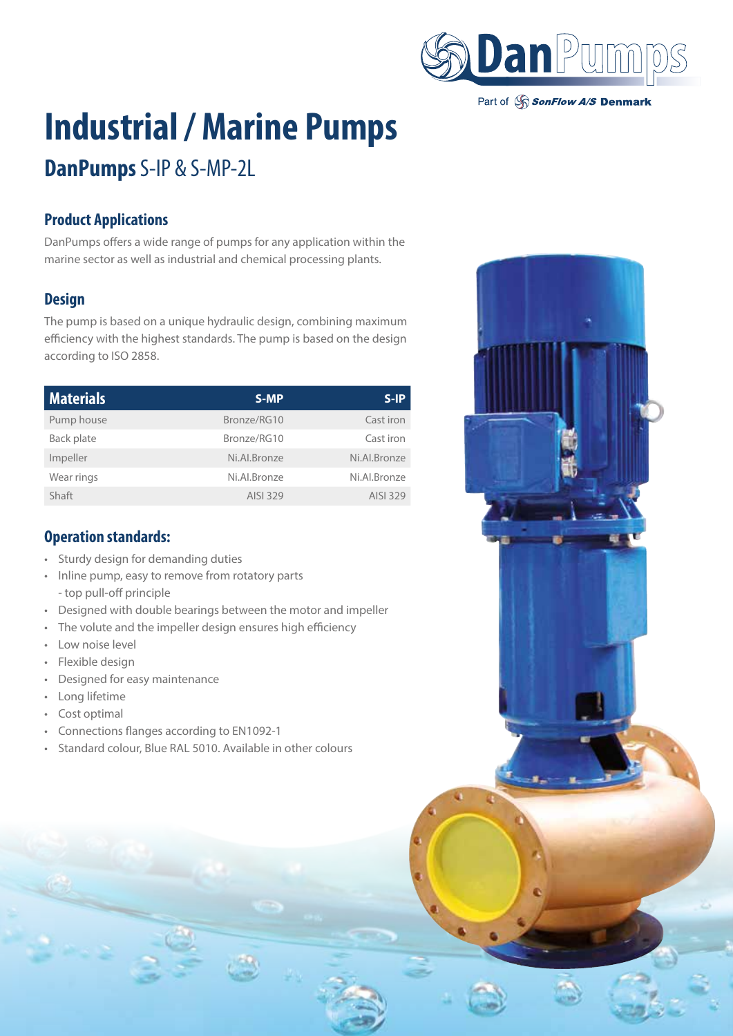

Part of SonFlow A/S Denmark

# **Industrial / Marine Pumps**

# **DanPumps** S-IP & S-MP-2L

## **Product Applications**

DanPumps offers a wide range of pumps for any application within the marine sector as well as industrial and chemical processing plants.

### **Design**

The pump is based on a unique hydraulic design, combining maximum efficiency with the highest standards. The pump is based on the design according to ISO 2858.

| <b>Materials</b> | S-MP         | $S-IP$       |
|------------------|--------------|--------------|
| Pump house       | Bronze/RG10  | Cast iron    |
| Back plate       | Bronze/RG10  | Cast iron    |
| Impeller         | Ni.Al.Bronze | Ni.Al.Bronze |
| Wear rings       | Ni.Al.Bronze | Ni.Al.Bronze |
| Shaft            | AISI 329     | AISI 329     |

#### **Operation standards:**

- Sturdy design for demanding duties
- Inline pump, easy to remove from rotatory parts - top pull-off principle
- Designed with double bearings between the motor and impeller
- The volute and the impeller design ensures high efficiency
- Low noise level
- Flexible design
- Designed for easy maintenance
- Long lifetime
- Cost optimal
- Connections flanges according to EN1092-1
- Standard colour, Blue RAL 5010. Available in other colours